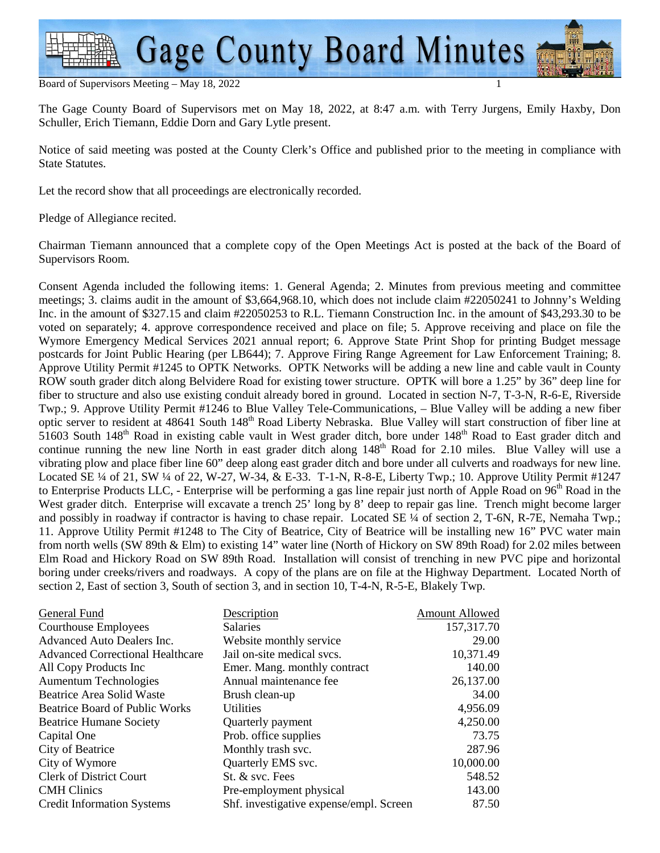

#### Board of Supervisors Meeting - May 18, 2022

The Gage County Board of Supervisors met on May 18, 2022, at 8:47 a.m. with Terry Jurgens, Emily Haxby, Don Schuller, Erich Tiemann, Eddie Dorn and Gary Lytle present.

Notice of said meeting was posted at the County Clerk's Office and published prior to the meeting in compliance with State Statutes.

Let the record show that all proceedings are electronically recorded.

Pledge of Allegiance recited.

Chairman Tiemann announced that a complete copy of the Open Meetings Act is posted at the back of the Board of Supervisors Room.

Consent Agenda included the following items: 1. General Agenda; 2. Minutes from previous meeting and committee meetings; 3. claims audit in the amount of \$3,664,968.10, which does not include claim #22050241 to Johnny's Welding Inc. in the amount of \$327.15 and claim #22050253 to R.L. Tiemann Construction Inc. in the amount of \$43,293.30 to be voted on separately; 4. approve correspondence received and place on file; 5. Approve receiving and place on file the Wymore Emergency Medical Services 2021 annual report; 6. Approve State Print Shop for printing Budget message postcards for Joint Public Hearing (per LB644); 7. Approve Firing Range Agreement for Law Enforcement Training; 8. Approve Utility Permit #1245 to OPTK Networks. OPTK Networks will be adding a new line and cable vault in County ROW south grader ditch along Belvidere Road for existing tower structure. OPTK will bore a 1.25" by 36" deep line for fiber to structure and also use existing conduit already bored in ground. Located in section N-7, T-3-N, R-6-E, Riverside Twp.; 9. Approve Utility Permit #1246 to Blue Valley Tele-Communications, – Blue Valley will be adding a new fiber optic server to resident at 48641 South 148<sup>th</sup> Road Liberty Nebraska. Blue Valley will start construction of fiber line at  $51603$  South  $148<sup>th</sup>$  Road in existing cable vault in West grader ditch, bore under  $148<sup>th</sup>$  Road to East grader ditch and continue running the new line North in east grader ditch along 148<sup>th</sup> Road for 2.10 miles. Blue Valley will use a vibrating plow and place fiber line 60" deep along east grader ditch and bore under all culverts and roadways for new line. Located SE ¼ of 21, SW ¼ of 22, W-27, W-34, & E-33. T-1-N, R-8-E, Liberty Twp.; 10. Approve Utility Permit #1247 to Enterprise Products LLC, - Enterprise will be performing a gas line repair just north of Apple Road on 96<sup>th</sup> Road in the West grader ditch. Enterprise will excavate a trench 25' long by 8' deep to repair gas line. Trench might become larger and possibly in roadway if contractor is having to chase repair. Located SE ¼ of section 2, T-6N, R-7E, Nemaha Twp.; 11. Approve Utility Permit #1248 to The City of Beatrice, City of Beatrice will be installing new 16" PVC water main from north wells (SW 89th & Elm) to existing 14" water line (North of Hickory on SW 89th Road) for 2.02 miles between Elm Road and Hickory Road on SW 89th Road. Installation will consist of trenching in new PVC pipe and horizontal boring under creeks/rivers and roadways. A copy of the plans are on file at the Highway Department. Located North of section 2, East of section 3, South of section 3, and in section 10, T-4-N, R-5-E, Blakely Twp.

| General Fund                            | Description                             | <b>Amount Allowed</b> |
|-----------------------------------------|-----------------------------------------|-----------------------|
| Courthouse Employees                    | <b>Salaries</b>                         | 157,317.70            |
| Advanced Auto Dealers Inc.              | Website monthly service                 | 29.00                 |
| <b>Advanced Correctional Healthcare</b> | Jail on-site medical svcs.              | 10,371.49             |
| All Copy Products Inc                   | Emer. Mang. monthly contract            | 140.00                |
| <b>Aumentum Technologies</b>            | Annual maintenance fee                  | 26,137.00             |
| Beatrice Area Solid Waste               | Brush clean-up                          | 34.00                 |
| <b>Beatrice Board of Public Works</b>   | <b>Utilities</b>                        | 4,956.09              |
| <b>Beatrice Humane Society</b>          | Quarterly payment                       | 4,250.00              |
| Capital One                             | Prob. office supplies                   | 73.75                 |
| City of Beatrice                        | Monthly trash svc.                      | 287.96                |
| City of Wymore                          | Quarterly EMS svc.                      | 10,000.00             |
| <b>Clerk of District Court</b>          | St. & svc. Fees                         | 548.52                |
| <b>CMH</b> Clinics                      | Pre-employment physical                 | 143.00                |
| <b>Credit Information Systems</b>       | Shf. investigative expense/empl. Screen | 87.50                 |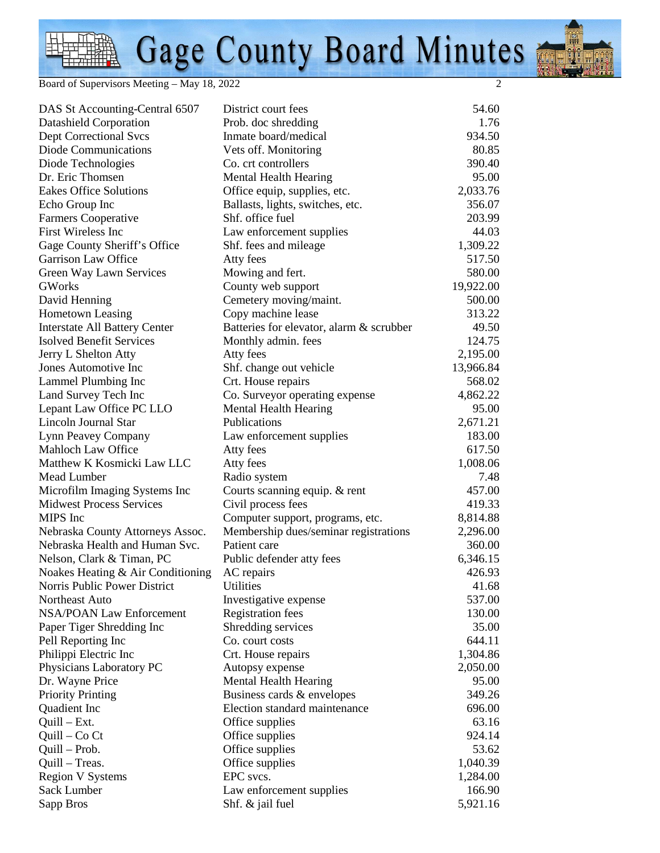# Gage County Board Minutes

Board of Supervisors Meeting – May 18, 2022 2

| DAS St Accounting-Central 6507       | District court fees                      | 54.60     |
|--------------------------------------|------------------------------------------|-----------|
| Datashield Corporation               | Prob. doc shredding                      | 1.76      |
| <b>Dept Correctional Svcs</b>        | Inmate board/medical                     | 934.50    |
| Diode Communications                 | Vets off. Monitoring                     | 80.85     |
| Diode Technologies                   | Co. crt controllers                      | 390.40    |
| Dr. Eric Thomsen                     | Mental Health Hearing                    | 95.00     |
| <b>Eakes Office Solutions</b>        | Office equip, supplies, etc.             | 2,033.76  |
| Echo Group Inc                       | Ballasts, lights, switches, etc.         | 356.07    |
| Farmers Cooperative                  | Shf. office fuel                         | 203.99    |
| First Wireless Inc                   | Law enforcement supplies                 | 44.03     |
| Gage County Sheriff's Office         | Shf. fees and mileage                    | 1,309.22  |
| Garrison Law Office                  | Atty fees                                | 517.50    |
| Green Way Lawn Services              | Mowing and fert.                         | 580.00    |
| <b>GWorks</b>                        | County web support                       | 19,922.00 |
| David Henning                        | Cemetery moving/maint.                   | 500.00    |
| <b>Hometown Leasing</b>              | Copy machine lease                       | 313.22    |
| <b>Interstate All Battery Center</b> | Batteries for elevator, alarm & scrubber | 49.50     |
| <b>Isolved Benefit Services</b>      | Monthly admin. fees                      | 124.75    |
| Jerry L Shelton Atty                 | Atty fees                                | 2,195.00  |
| Jones Automotive Inc                 | Shf. change out vehicle                  | 13,966.84 |
| Lammel Plumbing Inc                  | Crt. House repairs                       | 568.02    |
| Land Survey Tech Inc                 | Co. Surveyor operating expense           | 4,862.22  |
| Lepant Law Office PC LLO             | <b>Mental Health Hearing</b>             | 95.00     |
| <b>Lincoln Journal Star</b>          | Publications                             | 2,671.21  |
| Lynn Peavey Company                  | Law enforcement supplies                 | 183.00    |
| <b>Mahloch Law Office</b>            | Atty fees                                | 617.50    |
| Matthew K Kosmicki Law LLC           | Atty fees                                | 1,008.06  |
| Mead Lumber                          | Radio system                             | 7.48      |
| Microfilm Imaging Systems Inc        | Courts scanning equip. & rent            | 457.00    |
| <b>Midwest Process Services</b>      | Civil process fees                       | 419.33    |
| MIPS Inc                             | Computer support, programs, etc.         | 8,814.88  |
| Nebraska County Attorneys Assoc.     | Membership dues/seminar registrations    | 2,296.00  |
| Nebraska Health and Human Svc.       | Patient care                             | 360.00    |
| Nelson, Clark & Timan, PC            | Public defender atty fees                | 6,346.15  |
| Noakes Heating & Air Conditioning    | AC repairs                               | 426.93    |
| Norris Public Power District         | <b>Utilities</b>                         | 41.68     |
| Northeast Auto                       | Investigative expense                    | 537.00    |
| <b>NSA/POAN Law Enforcement</b>      | <b>Registration fees</b>                 | 130.00    |
| Paper Tiger Shredding Inc            | Shredding services                       | 35.00     |
| Pell Reporting Inc                   | Co. court costs                          | 644.11    |
| Philippi Electric Inc                | Crt. House repairs                       | 1,304.86  |
| Physicians Laboratory PC             | Autopsy expense                          | 2,050.00  |
| Dr. Wayne Price                      | <b>Mental Health Hearing</b>             | 95.00     |
| <b>Priority Printing</b>             | Business cards & envelopes               | 349.26    |
| Quadient Inc                         | Election standard maintenance            | 696.00    |
| Quill - Ext.                         | Office supplies                          | 63.16     |
| Quill – Co Ct                        | Office supplies                          | 924.14    |
| Quill - Prob.                        | Office supplies                          | 53.62     |
| Quill - Treas.                       | Office supplies                          | 1,040.39  |
| <b>Region V Systems</b>              | EPC svcs.                                | 1,284.00  |
| Sack Lumber                          | Law enforcement supplies                 | 166.90    |
| Sapp Bros                            | Shf. $\&$ jail fuel                      | 5,921.16  |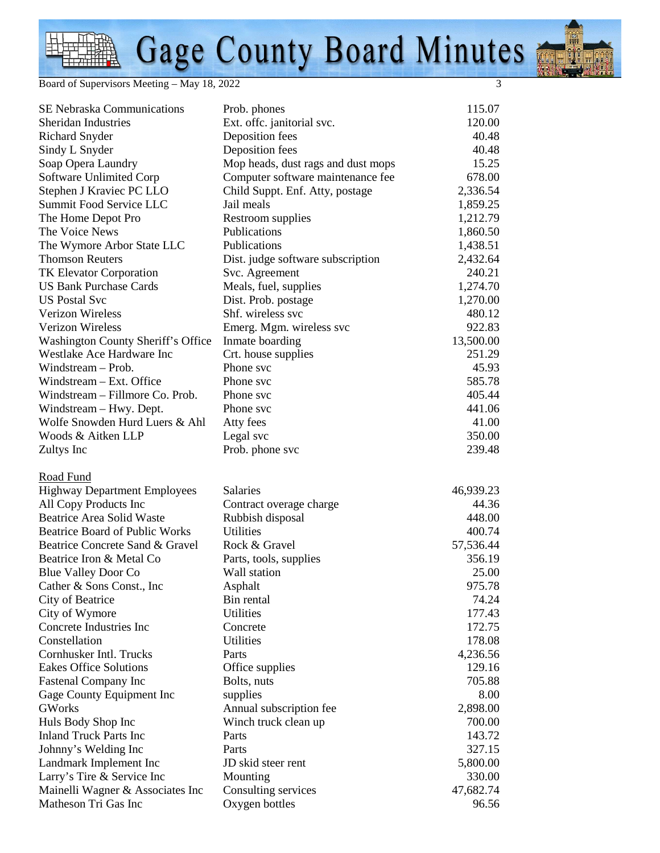## Gage County Board Minutes

Board of Supervisors Meeting – May 18, 2022 3

| SE Nebraska Communications                | Prob. phones                       | 115.07    |
|-------------------------------------------|------------------------------------|-----------|
| <b>Sheridan Industries</b>                | Ext. offc. janitorial svc.         | 120.00    |
| <b>Richard Snyder</b>                     | Deposition fees                    | 40.48     |
| Sindy L Snyder                            | Deposition fees                    | 40.48     |
| Soap Opera Laundry                        | Mop heads, dust rags and dust mops | 15.25     |
| <b>Software Unlimited Corp</b>            | Computer software maintenance fee  | 678.00    |
| Stephen J Kraviec PC LLO                  | Child Suppt. Enf. Atty, postage    | 2,336.54  |
| Summit Food Service LLC                   | Jail meals                         | 1,859.25  |
| The Home Depot Pro                        | Restroom supplies                  | 1,212.79  |
| The Voice News                            | Publications                       | 1,860.50  |
| The Wymore Arbor State LLC                | Publications                       | 1,438.51  |
| <b>Thomson Reuters</b>                    | Dist. judge software subscription  | 2,432.64  |
| <b>TK Elevator Corporation</b>            | Svc. Agreement                     | 240.21    |
| <b>US Bank Purchase Cards</b>             | Meals, fuel, supplies              | 1,274.70  |
| <b>US Postal Svc</b>                      | Dist. Prob. postage                | 1,270.00  |
| Verizon Wireless                          | Shf. wireless svc                  | 480.12    |
| Verizon Wireless                          | Emerg. Mgm. wireless svc           | 922.83    |
| <b>Washington County Sheriff's Office</b> | Inmate boarding                    | 13,500.00 |
| Westlake Ace Hardware Inc                 | Crt. house supplies                | 251.29    |
| Windstream – Prob.                        | Phone svc                          | 45.93     |
| Windstream – Ext. Office                  | Phone svc                          | 585.78    |
| Windstream - Fillmore Co. Prob.           | Phone svc                          | 405.44    |
| Windstream - Hwy. Dept.                   | Phone svc                          | 441.06    |
| Wolfe Snowden Hurd Luers & Ahl            | Atty fees                          | 41.00     |
| Woods & Aitken LLP                        | Legal svc                          | 350.00    |
| Zultys Inc                                | Prob. phone svc                    | 239.48    |
| Road Fund                                 |                                    |           |
| <b>Highway Department Employees</b>       | Salaries                           | 46,939.23 |
| All Copy Products Inc                     | Contract overage charge            | 44.36     |
| <b>Beatrice Area Solid Waste</b>          | Rubbish disposal                   | 448.00    |
| <b>Beatrice Board of Public Works</b>     | Utilities                          | 400.74    |
| Beatrice Concrete Sand & Gravel           | Rock & Gravel                      | 57,536.44 |
| Beatrice Iron & Metal Co                  | Parts, tools, supplies             | 356.19    |
| <b>Blue Valley Door Co</b>                | Wall station                       | 25.00     |
| Cather & Sons Const., Inc                 | Asphalt                            | 975.78    |
| City of Beatrice                          | Bin rental                         | 74.24     |
| City of Wymore                            | <b>Utilities</b>                   | 177.43    |
| Concrete Industries Inc                   | Concrete                           | 172.75    |
| Constellation                             | <b>Utilities</b>                   | 178.08    |
| Cornhusker Intl. Trucks                   | Parts                              | 4,236.56  |
| <b>Eakes Office Solutions</b>             | Office supplies                    | 129.16    |
| <b>Fastenal Company Inc</b>               | Bolts, nuts                        | 705.88    |
| Gage County Equipment Inc                 | supplies                           | 8.00      |
| <b>GWorks</b>                             | Annual subscription fee            | 2,898.00  |
| Huls Body Shop Inc                        | Winch truck clean up               | 700.00    |
| <b>Inland Truck Parts Inc</b>             | Parts                              | 143.72    |
| Johnny's Welding Inc                      | Parts                              | 327.15    |
| Landmark Implement Inc                    | JD skid steer rent                 | 5,800.00  |
| Larry's Tire & Service Inc                | Mounting                           | 330.00    |
| Mainelli Wagner & Associates Inc          | Consulting services                | 47,682.74 |
| Matheson Tri Gas Inc                      | Oxygen bottles                     | 96.56     |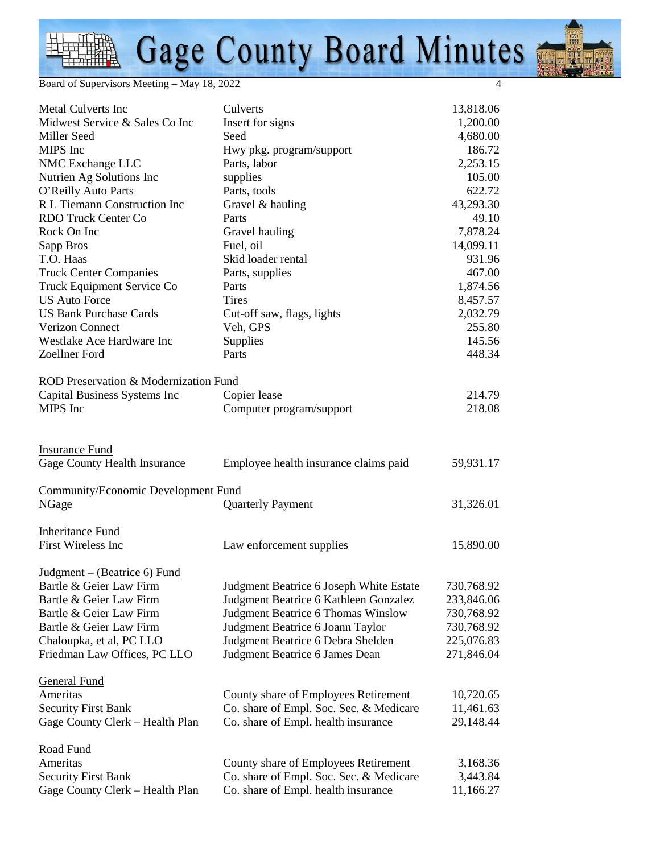### Gage County Board Minutes

Board of Supervisors Meeting – May 18, 2022 4

| <b>Metal Culverts Inc</b>                  | Culverts                                | 13,818.06  |
|--------------------------------------------|-----------------------------------------|------------|
| Midwest Service & Sales Co Inc             | Insert for signs                        | 1,200.00   |
| Miller Seed                                | Seed                                    | 4,680.00   |
| MIPS Inc                                   | Hwy pkg. program/support                | 186.72     |
| NMC Exchange LLC                           | Parts, labor                            | 2,253.15   |
| Nutrien Ag Solutions Inc                   | supplies                                | 105.00     |
| O'Reilly Auto Parts                        | Parts, tools                            | 622.72     |
| R L Tiemann Construction Inc               | Gravel & hauling                        | 43,293.30  |
| <b>RDO Truck Center Co</b>                 | Parts                                   | 49.10      |
| Rock On Inc                                | Gravel hauling                          | 7,878.24   |
| Sapp Bros                                  | Fuel, oil                               | 14,099.11  |
| T.O. Haas                                  | Skid loader rental                      | 931.96     |
| <b>Truck Center Companies</b>              | Parts, supplies                         | 467.00     |
| Truck Equipment Service Co                 | Parts                                   | 1,874.56   |
| <b>US Auto Force</b>                       | <b>Tires</b>                            | 8,457.57   |
| <b>US Bank Purchase Cards</b>              | Cut-off saw, flags, lights              | 2,032.79   |
| <b>Verizon Connect</b>                     | Veh, GPS                                | 255.80     |
| Westlake Ace Hardware Inc                  | Supplies                                | 145.56     |
| Zoellner Ford                              | Parts                                   | 448.34     |
|                                            |                                         |            |
| ROD Preservation & Modernization Fund      |                                         |            |
| Capital Business Systems Inc               | Copier lease                            | 214.79     |
| MIPS Inc                                   | Computer program/support                | 218.08     |
|                                            |                                         |            |
|                                            |                                         |            |
| <b>Insurance Fund</b>                      |                                         |            |
| Gage County Health Insurance               | Employee health insurance claims paid   | 59,931.17  |
|                                            |                                         |            |
| <b>Community/Economic Development Fund</b> |                                         |            |
| NGage                                      | <b>Quarterly Payment</b>                | 31,326.01  |
|                                            |                                         |            |
| <b>Inheritance Fund</b>                    |                                         |            |
| First Wireless Inc                         | Law enforcement supplies                | 15,890.00  |
|                                            |                                         |            |
| $Judgment - (Bearrice 6) Fund$             |                                         |            |
| Bartle & Geier Law Firm                    | Judgment Beatrice 6 Joseph White Estate | 730,768.92 |
| Bartle & Geier Law Firm                    | Judgment Beatrice 6 Kathleen Gonzalez   | 233,846.06 |
| Bartle & Geier Law Firm                    | Judgment Beatrice 6 Thomas Winslow      | 730,768.92 |
| Bartle & Geier Law Firm                    | Judgment Beatrice 6 Joann Taylor        | 730,768.92 |
| Chaloupka, et al, PC LLO                   | Judgment Beatrice 6 Debra Shelden       | 225,076.83 |
| Friedman Law Offices, PC LLO               | Judgment Beatrice 6 James Dean          | 271,846.04 |
|                                            |                                         |            |
| <b>General Fund</b>                        |                                         |            |
| Ameritas                                   | County share of Employees Retirement    | 10,720.65  |
| <b>Security First Bank</b>                 | Co. share of Empl. Soc. Sec. & Medicare | 11,461.63  |
|                                            |                                         |            |
| Gage County Clerk - Health Plan            | Co. share of Empl. health insurance     | 29,148.44  |
| <b>Road Fund</b>                           |                                         |            |
| Ameritas                                   | County share of Employees Retirement    | 3,168.36   |
| <b>Security First Bank</b>                 | Co. share of Empl. Soc. Sec. & Medicare | 3,443.84   |
| Gage County Clerk - Health Plan            | Co. share of Empl. health insurance     | 11,166.27  |
|                                            |                                         |            |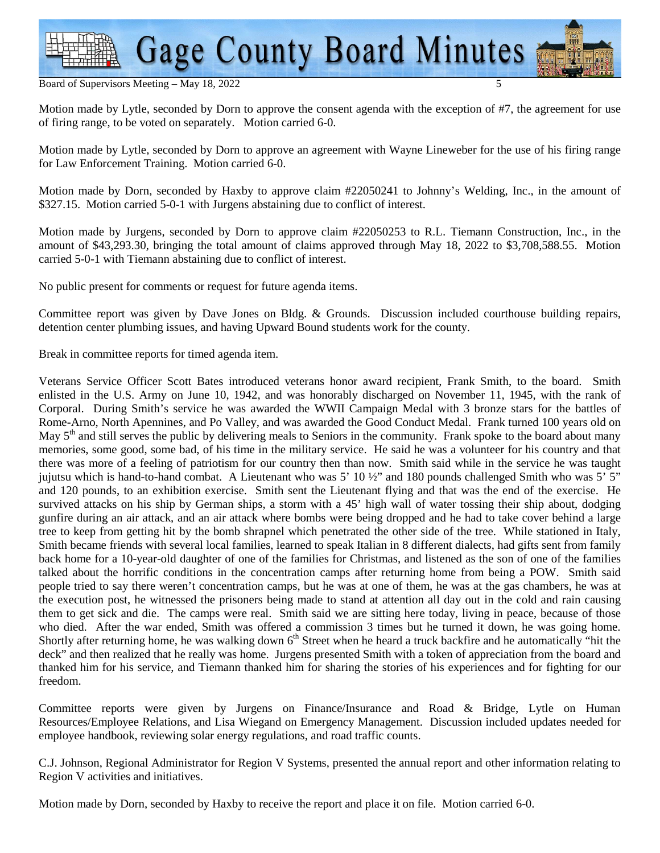

#### Board of Supervisors Meeting - May 18, 2022

Motion made by Lytle, seconded by Dorn to approve the consent agenda with the exception of #7, the agreement for use of firing range, to be voted on separately. Motion carried 6-0.

Motion made by Lytle, seconded by Dorn to approve an agreement with Wayne Lineweber for the use of his firing range for Law Enforcement Training. Motion carried 6-0.

Motion made by Dorn, seconded by Haxby to approve claim #22050241 to Johnny's Welding, Inc., in the amount of \$327.15. Motion carried 5-0-1 with Jurgens abstaining due to conflict of interest.

Motion made by Jurgens, seconded by Dorn to approve claim #22050253 to R.L. Tiemann Construction, Inc., in the amount of \$43,293.30, bringing the total amount of claims approved through May 18, 2022 to \$3,708,588.55. Motion carried 5-0-1 with Tiemann abstaining due to conflict of interest.

No public present for comments or request for future agenda items.

Committee report was given by Dave Jones on Bldg. & Grounds. Discussion included courthouse building repairs, detention center plumbing issues, and having Upward Bound students work for the county.

Break in committee reports for timed agenda item.

Veterans Service Officer Scott Bates introduced veterans honor award recipient, Frank Smith, to the board. Smith enlisted in the U.S. Army on June 10, 1942, and was honorably discharged on November 11, 1945, with the rank of Corporal. During Smith's service he was awarded the WWII Campaign Medal with 3 bronze stars for the battles of Rome-Arno, North Apennines, and Po Valley, and was awarded the Good Conduct Medal. Frank turned 100 years old on May  $5<sup>th</sup>$  and still serves the public by delivering meals to Seniors in the community. Frank spoke to the board about many memories, some good, some bad, of his time in the military service. He said he was a volunteer for his country and that there was more of a feeling of patriotism for our country then than now. Smith said while in the service he was taught jujutsu which is hand-to-hand combat. A Lieutenant who was  $5'$  10  $\frac{1}{2}$  and 180 pounds challenged Smith who was  $5'$   $5''$ and 120 pounds, to an exhibition exercise. Smith sent the Lieutenant flying and that was the end of the exercise. He survived attacks on his ship by German ships, a storm with a 45' high wall of water tossing their ship about, dodging gunfire during an air attack, and an air attack where bombs were being dropped and he had to take cover behind a large tree to keep from getting hit by the bomb shrapnel which penetrated the other side of the tree. While stationed in Italy, Smith became friends with several local families, learned to speak Italian in 8 different dialects, had gifts sent from family back home for a 10-year-old daughter of one of the families for Christmas, and listened as the son of one of the families talked about the horrific conditions in the concentration camps after returning home from being a POW. Smith said people tried to say there weren't concentration camps, but he was at one of them, he was at the gas chambers, he was at the execution post, he witnessed the prisoners being made to stand at attention all day out in the cold and rain causing them to get sick and die. The camps were real. Smith said we are sitting here today, living in peace, because of those who died. After the war ended, Smith was offered a commission 3 times but he turned it down, he was going home. Shortly after returning home, he was walking down  $6<sup>th</sup>$  Street when he heard a truck backfire and he automatically "hit the deck" and then realized that he really was home. Jurgens presented Smith with a token of appreciation from the board and thanked him for his service, and Tiemann thanked him for sharing the stories of his experiences and for fighting for our freedom.

Committee reports were given by Jurgens on Finance/Insurance and Road & Bridge, Lytle on Human Resources/Employee Relations, and Lisa Wiegand on Emergency Management. Discussion included updates needed for employee handbook, reviewing solar energy regulations, and road traffic counts.

C.J. Johnson, Regional Administrator for Region V Systems, presented the annual report and other information relating to Region V activities and initiatives.

Motion made by Dorn, seconded by Haxby to receive the report and place it on file. Motion carried 6-0.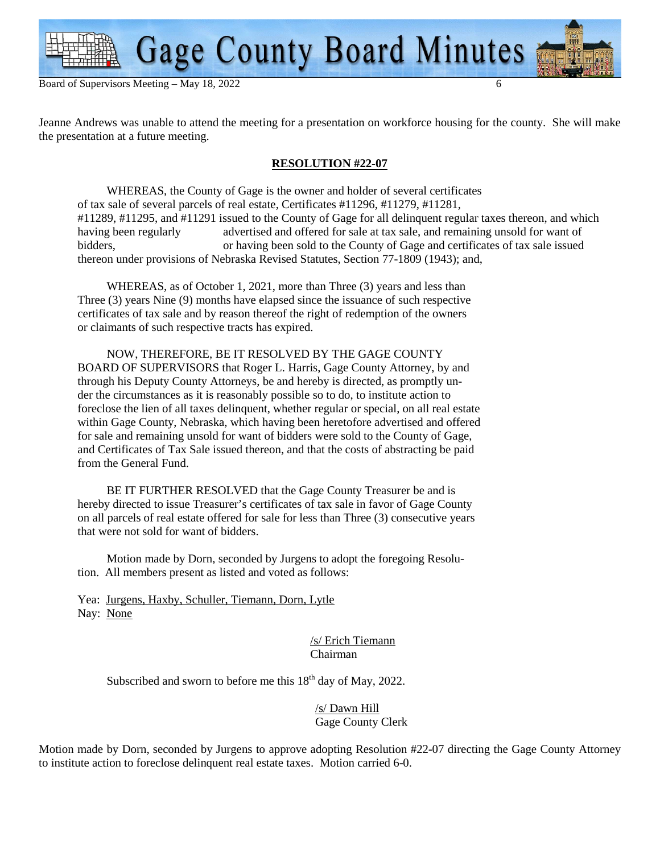

Jeanne Andrews was unable to attend the meeting for a presentation on workforce housing for the county. She will make the presentation at a future meeting.

### **RESOLUTION #22-07**

 WHEREAS, the County of Gage is the owner and holder of several certificates of tax sale of several parcels of real estate, Certificates #11296, #11279, #11281, #11289, #11295, and #11291 issued to the County of Gage for all delinquent regular taxes thereon, and which having been regularly advertised and offered for sale at tax sale, and remaining unsold for want of advertised and offered for sale at tax sale, and remaining unsold for want of bidders, or having been sold to the County of Gage and certificates of tax sale issued thereon under provisions of Nebraska Revised Statutes, Section 77-1809 (1943); and,

 WHEREAS, as of October 1, 2021, more than Three (3) years and less than Three (3) years Nine (9) months have elapsed since the issuance of such respective certificates of tax sale and by reason thereof the right of redemption of the owners or claimants of such respective tracts has expired.

 NOW, THEREFORE, BE IT RESOLVED BY THE GAGE COUNTY BOARD OF SUPERVISORS that Roger L. Harris, Gage County Attorney, by and through his Deputy County Attorneys, be and hereby is directed, as promptly un der the circumstances as it is reasonably possible so to do, to institute action to foreclose the lien of all taxes delinquent, whether regular or special, on all real estate within Gage County, Nebraska, which having been heretofore advertised and offered for sale and remaining unsold for want of bidders were sold to the County of Gage, and Certificates of Tax Sale issued thereon, and that the costs of abstracting be paid from the General Fund.

 BE IT FURTHER RESOLVED that the Gage County Treasurer be and is hereby directed to issue Treasurer's certificates of tax sale in favor of Gage County on all parcels of real estate offered for sale for less than Three (3) consecutive years that were not sold for want of bidders.

 Motion made by Dorn, seconded by Jurgens to adopt the foregoing Resolu tion. All members present as listed and voted as follows:

 Yea: Jurgens, Haxby, Schuller, Tiemann, Dorn, Lytle Nay: None

> /s/ Erich Tiemann Chairman

Subscribed and sworn to before me this  $18<sup>th</sup>$  day of May, 2022.

 /s/ Dawn Hill Gage County Clerk

Motion made by Dorn, seconded by Jurgens to approve adopting Resolution #22-07 directing the Gage County Attorney to institute action to foreclose delinquent real estate taxes. Motion carried 6-0.